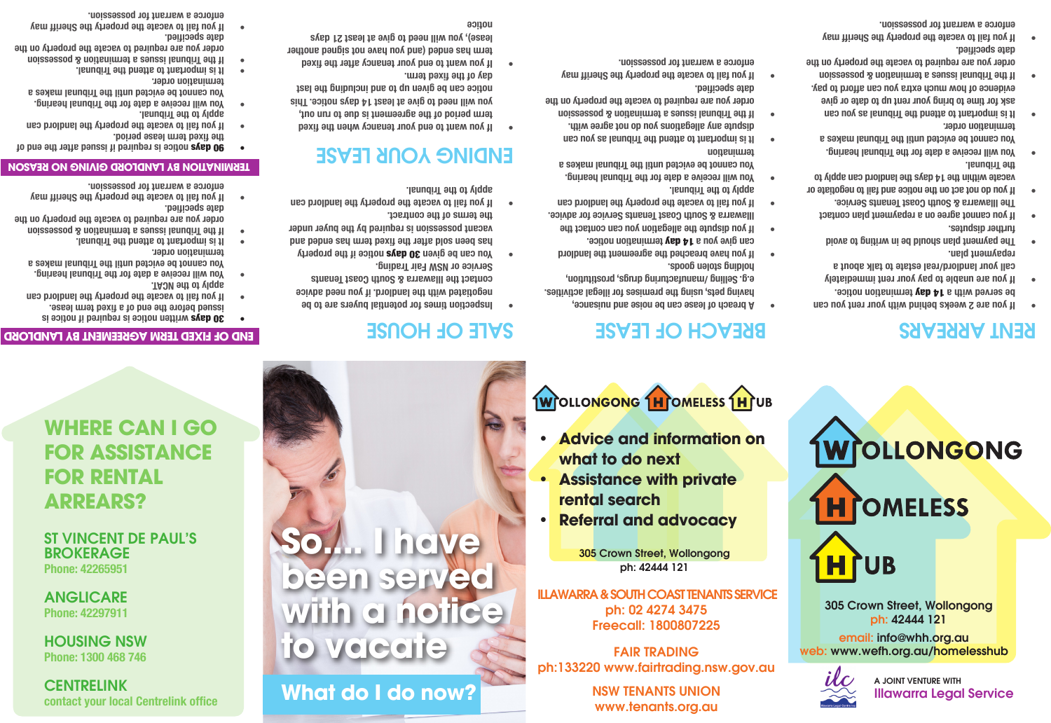**CENTRELINK contact your local Centrelink office** 

HOUSING NSW **Phone: 1300 468 746**

ANGLICARE **Phone: 42297911** 

ST VINCENT DE PAUL'S BROKERAGE **Phone: 42265951**

**WHERE CAN I GO FOR ASSISTANCE FOR RENTAL ARREARS?**

**30 days written notice is abouted if notice is issued before the end of a fixed term lease. If you fail to vacate the property the landlord can •**

**END OF FIXED TERM AGREEMENT BY LANDLORD** 

**You will receive a date for the Tribunal hearing. • You cannot be evicted until the Tribunal makes a** 

**If the Tribunal issues a termination & possession • order you are required to vacate the property on the** 

**90 days notice is required if issued after the end of** 

**TERMINATION BY LANDLORD GIVING NO REASON** 

**If you fail to vacate the property the Sheriff may • enforce a warrant for possession.** 

**If you fail to vacate the property the landlord can •**

**You will receive a date for the Tribunal hearing. • You cannot be evicted until the Tribunal makes a** 

**apply to the NCAT.**

**termination order.** 

**date specified.** 

**It is important to attend the Tribunal. •**

**the fixed term lease period.** 

**It is important to attend the Tribunal. •**

**apply to the Tribunal.**

**termination order.**

# **What do I do now?**

**to vacate**

**So.... I have** 

**been served** 

**with a notice** 

NSW TENANTS UNION

www.tenants.org.au

FAIR TRADING ph:133220 www.fairtrading.nsw.gov.au

ILLAWARRA & SOUTH COAST TENANTS SERVICE ph: 02 4274 3475 Freecall: 1800807225

305 Crown Street, Wollongong ph: 42444 121

- **rental search • Referral and advocacy**
- **• Assistance with private**
- **• Advice and information on what to do next**

### **WOLLONGONG HOMELESS HOUB**

**A breach of lease can be noise and nuisance, • having pets, using the premises for illegal activities. e.g. Selling /manufacturing drugs, prostitution,** 

BREACH OF LEASE

**If you have breached the agreement the landlord •** can give you a 14 day termination notice. **If you dispute the allegation you can contact the • Illawarra & South Coast Tenants Service for advice. If you fail to vacate the property the landlord can •**

**You will receive a date for the Tribunal hearing. • You cannot be evicted until the Tribunal makes a** 

**It is important to attend the Tribunal as you can • dispute any allegations you do not agree with. If the Tribunal issues a termination & possession • order you are required to vacate the property on the** 

**If you fail to vacate the property the Sheriff may • enforce a warrant for possession.** 

**holding stolen goods.**

**Tribunal**. **Tribunal.** 

**termination**

**date specified.** 

## RENT ARREARS

**If you are 2 weeks behind with your rent you can •** be served with a **14 day termination notice.** 

**WrOLLONGONG** 

305 Crown Street, Wollongong ph: 42444 121

**H** COMELESS

HIUB

email: info@whh.org.au web: www.wefh.org.au/homelesshub

A JOINT VENTURE WITH

Illawarra Legal Service

- **If you are unable to pay your rent immediately • call your landlord/real estate to talk about a**
- **repayment plan. The payment plan should be in writing to avoid • further disputes.**
- **If you cannot agree on a repayment plan contact • The Illawarra & South Coast Tenants Service.**
- **If you do not act on the notice and fail to negotiate or • vacate within the 14 days the landlord can apply to Tribunal. the**
- **You will receive a date for the Tribunal hearing. • You cannot be evicted until the Tribunal makes a termination order.**
- **It is important to attend the Tribunal as you can • ask for time to bring your rent up to date or give evidence of how much extra you can afford to pay. If the Tribunal issues a termination & possession •**
- **order you are required to vacate the property on the date specified.**
- **If you fail to vacate the property the Sheriff may • enforce a warrant for possession.**

### SALE OF HOUSE

- **negotiated with the landlord. if you need advice contact the Illawarra & South Coast Tenants Service or NSW Fair Trading.**
- **10 or can be given 30 days notice if the property has been sold after the fixed term has ended and vacant possession is required by the buyer under**
- **the terms of the contract. If you fail to vacate the property the landlord can •**

# **Tribunal:** Tribunal.

- **If you want to end your tenancy when the fixed • term period of the agreement is due to run out, you will need to give at least 14 days notice. This notice can be given up to and including the last day of the fixed term.**
- **If you want to end your tenancy after the fixed term has ended (and you have not signed another lease), you will need to give at least 21 days notice**

### **If the Tribunal issues a termination & possession • order you are required to vacate the property on the date specified.**

**If you fail to vacate the property the Sheriff may • enforce a warrant for possession.**

- **Inspection times for potential buyers are to be •**
- 
- 
- 

# ENDING JOUR LEASE

- 
-